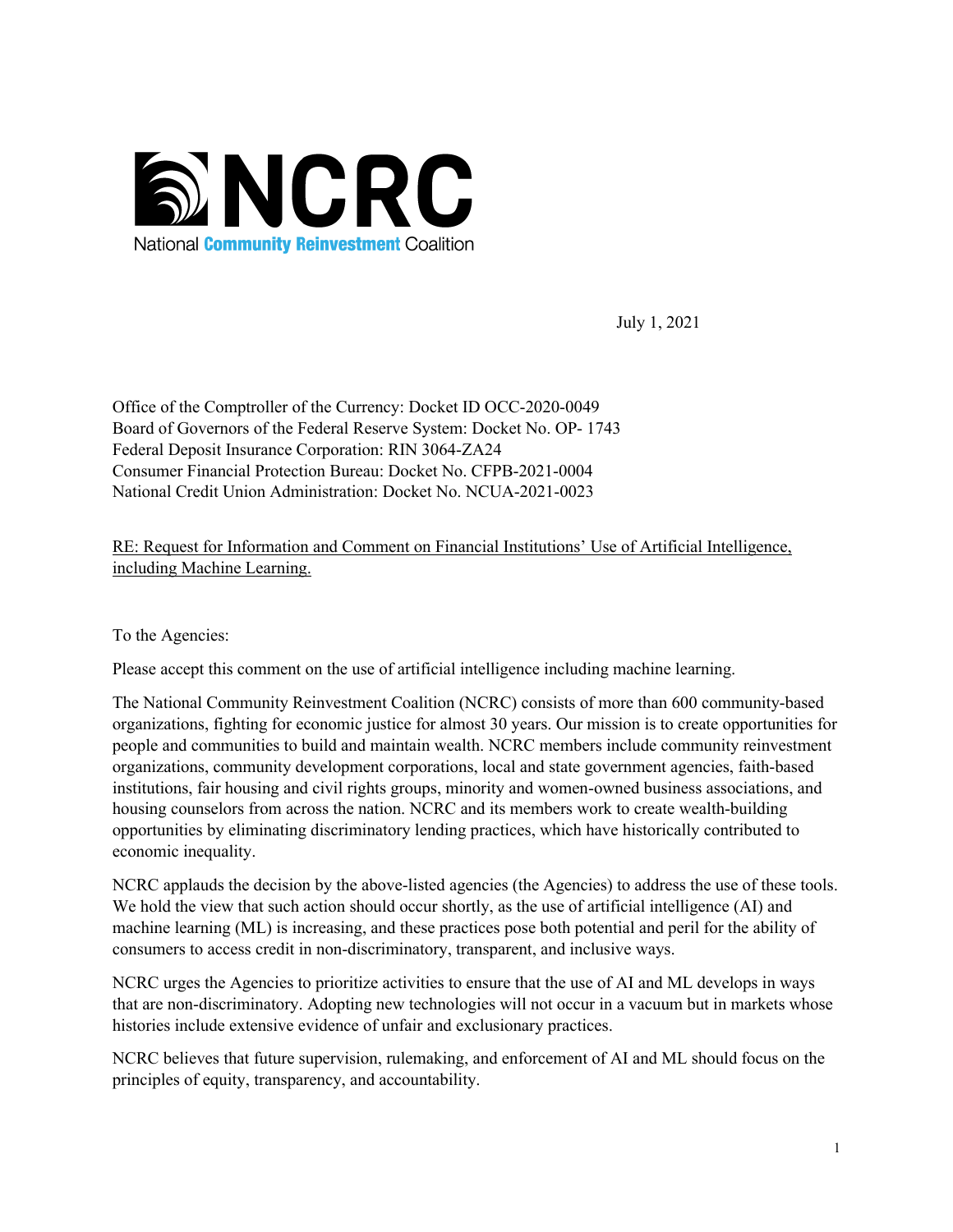

July 1, 2021

Office of the Comptroller of the Currency: Docket ID OCC-2020-0049 Board of Governors of the Federal Reserve System: Docket No. OP- 1743 Federal Deposit Insurance Corporation: RIN 3064-ZA24 Consumer Financial Protection Bureau: Docket No. CFPB-2021-0004 National Credit Union Administration: Docket No. NCUA-2021-0023

RE: Request for Information and Comment on Financial Institutions' Use of Artificial Intelligence, including Machine Learning.

To the Agencies:

Please accept this comment on the use of artificial intelligence including machine learning.

The National Community Reinvestment Coalition (NCRC) consists of more than 600 community-based organizations, fighting for economic justice for almost 30 years. Our mission is to create opportunities for people and communities to build and maintain wealth. NCRC members include community reinvestment organizations, community development corporations, local and state government agencies, faith-based institutions, fair housing and civil rights groups, minority and women-owned business associations, and housing counselors from across the nation. NCRC and its members work to create wealth-building opportunities by eliminating discriminatory lending practices, which have historically contributed to economic inequality.

NCRC applauds the decision by the above-listed agencies (the Agencies) to address the use of these tools. We hold the view that such action should occur shortly, as the use of artificial intelligence (AI) and machine learning (ML) is increasing, and these practices pose both potential and peril for the ability of consumers to access credit in non-discriminatory, transparent, and inclusive ways.

NCRC urges the Agencies to prioritize activities to ensure that the use of AI and ML develops in ways that are non-discriminatory. Adopting new technologies will not occur in a vacuum but in markets whose histories include extensive evidence of unfair and exclusionary practices.

NCRC believes that future supervision, rulemaking, and enforcement of AI and ML should focus on the principles of equity, transparency, and accountability.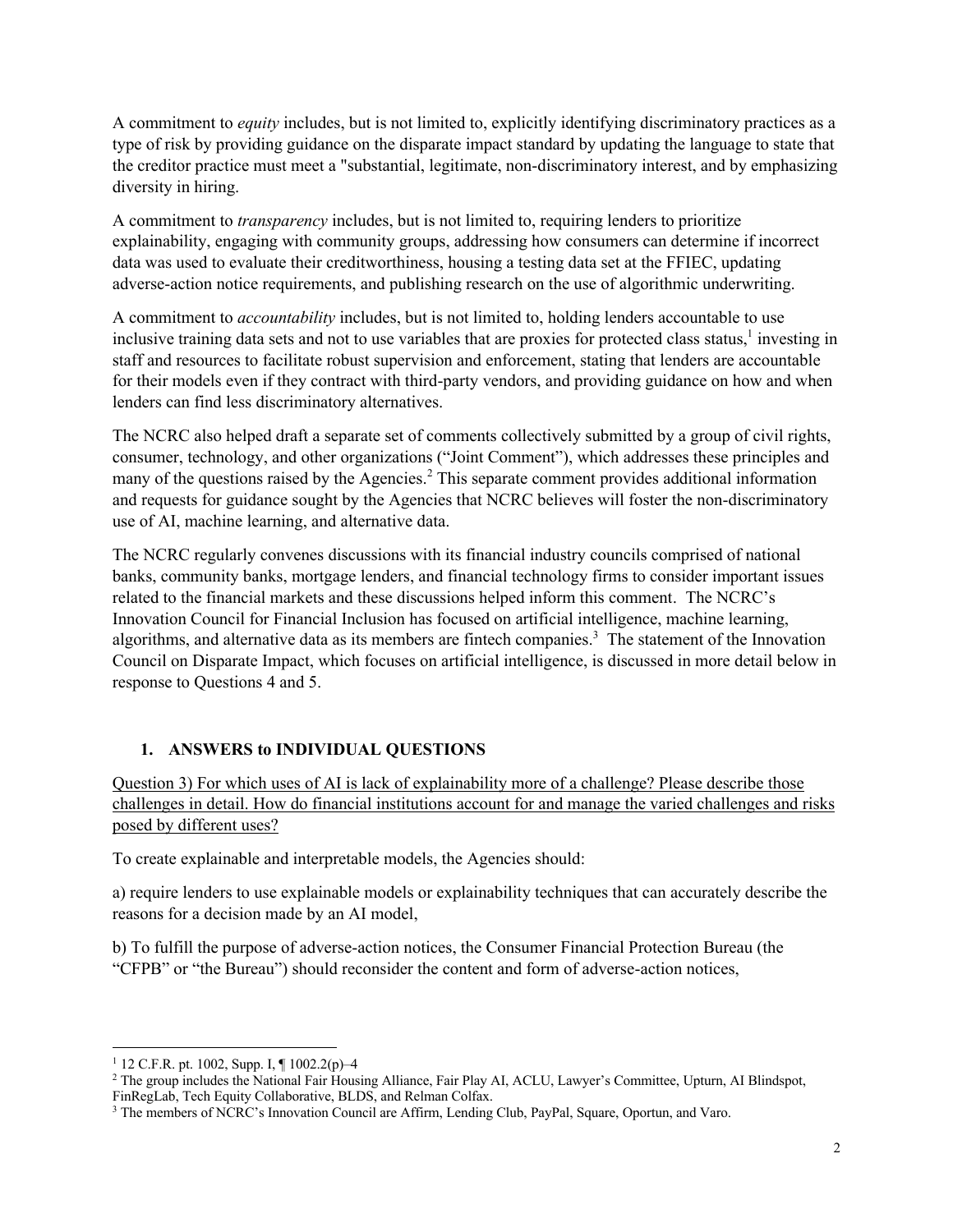A commitment to *equity* includes, but is not limited to, explicitly identifying discriminatory practices as a type of risk by providing guidance on the disparate impact standard by updating the language to state that the creditor practice must meet a "substantial, legitimate, non-discriminatory interest, and by emphasizing diversity in hiring.

A commitment to *transparency* includes, but is not limited to, requiring lenders to prioritize explainability, engaging with community groups, addressing how consumers can determine if incorrect data was used to evaluate their creditworthiness, housing a testing data set at the FFIEC, updating adverse-action notice requirements, and publishing research on the use of algorithmic underwriting.

A commitment to *accountability* includes, but is not limited to, holding lenders accountable to use inclusive training data sets and not to use variables that are proxies for protected class status,<sup>1</sup> investing in staff and resources to facilitate robust supervision and enforcement, stating that lenders are accountable for their models even if they contract with third-party vendors, and providing guidance on how and when lenders can find less discriminatory alternatives.

The NCRC also helped draft a separate set of comments collectively submitted by a group of civil rights, consumer, technology, and other organizations ("Joint Comment"), which addresses these principles and many of the questions raised by the Agencies.<sup>2</sup> This separate comment provides additional information and requests for guidance sought by the Agencies that NCRC believes will foster the non-discriminatory use of AI, machine learning, and alternative data.

The NCRC regularly convenes discussions with its financial industry councils comprised of national banks, community banks, mortgage lenders, and financial technology firms to consider important issues related to the financial markets and these discussions helped inform this comment. The NCRC's Innovation Council for Financial Inclusion has focused on artificial intelligence, machine learning, algorithms, and alternative data as its members are fintech companies.<sup>3</sup> The statement of the Innovation Council on Disparate Impact, which focuses on artificial intelligence, is discussed in more detail below in response to Questions 4 and 5.

### **1. ANSWERS to INDIVIDUAL QUESTIONS**

Question 3) For which uses of AI is lack of explainability more of a challenge? Please describe those challenges in detail. How do financial institutions account for and manage the varied challenges and risks posed by different uses?

To create explainable and interpretable models, the Agencies should:

a) require lenders to use explainable models or explainability techniques that can accurately describe the reasons for a decision made by an AI model,

b) To fulfill the purpose of adverse-action notices, the Consumer Financial Protection Bureau (the "CFPB" or "the Bureau") should reconsider the content and form of adverse-action notices,

<sup>&</sup>lt;sup>1</sup> 12 C.F.R. pt. 1002, Supp. I,  $\P$  1002.2(p)-4

<sup>2</sup> The group includes the National Fair Housing Alliance, Fair Play AI, ACLU, Lawyer's Committee, Upturn, AI Blindspot, FinRegLab, Tech Equity Collaborative, BLDS, and Relman Colfax.

<sup>3</sup> The members of NCRC's Innovation Council are Affirm, Lending Club, PayPal, Square, Oportun, and Varo.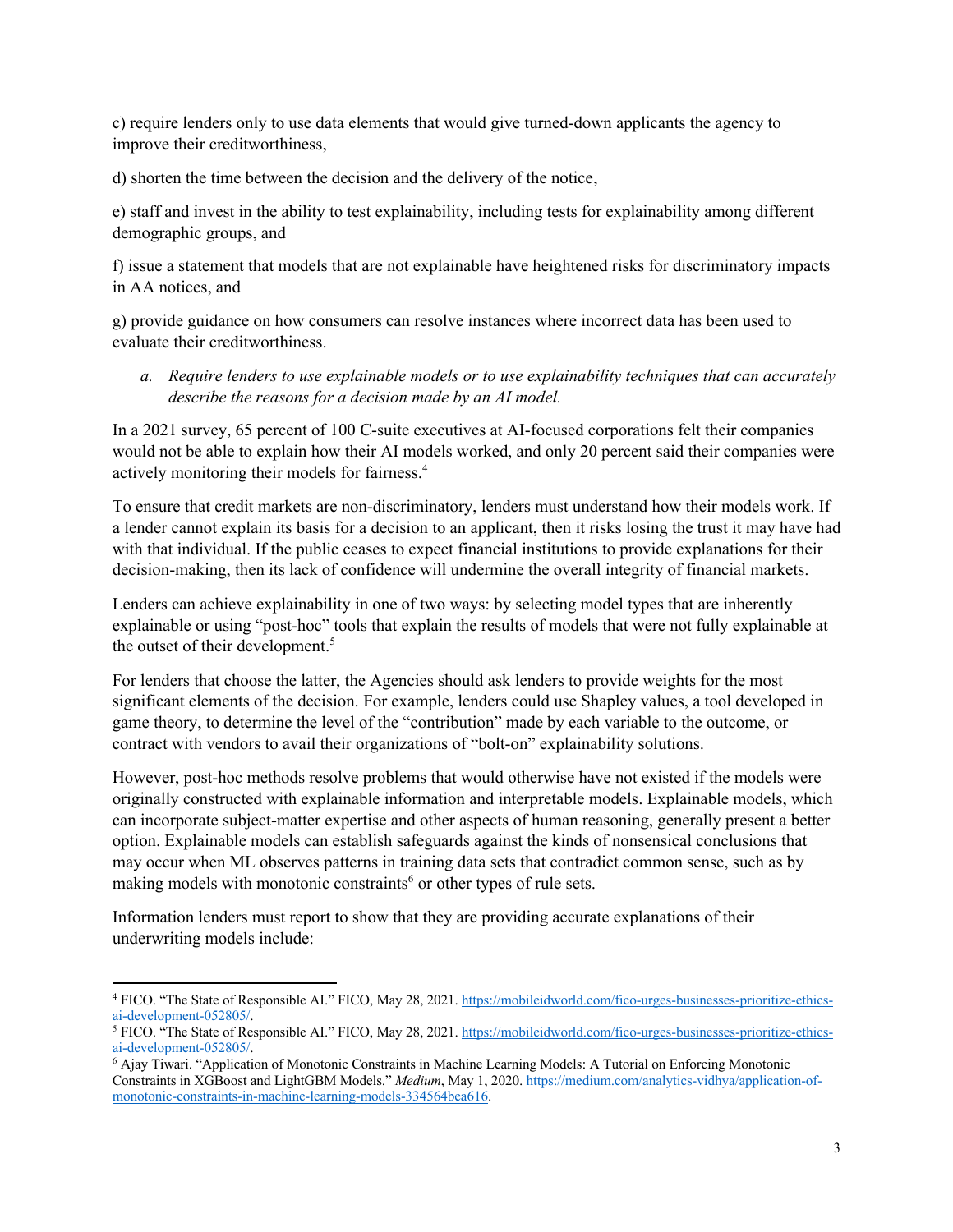c) require lenders only to use data elements that would give turned-down applicants the agency to improve their creditworthiness,

d) shorten the time between the decision and the delivery of the notice,

e) staff and invest in the ability to test explainability, including tests for explainability among different demographic groups, and

f) issue a statement that models that are not explainable have heightened risks for discriminatory impacts in AA notices, and

g) provide guidance on how consumers can resolve instances where incorrect data has been used to evaluate their creditworthiness.

*a. Require lenders to use explainable models or to use explainability techniques that can accurately describe the reasons for a decision made by an AI model.*

In a 2021 survey, 65 percent of 100 C-suite executives at AI-focused corporations felt their companies would not be able to explain how their AI models worked, and only 20 percent said their companies were actively monitoring their models for fairness.<sup>4</sup>

To ensure that credit markets are non-discriminatory, lenders must understand how their models work. If a lender cannot explain its basis for a decision to an applicant, then it risks losing the trust it may have had with that individual. If the public ceases to expect financial institutions to provide explanations for their decision-making, then its lack of confidence will undermine the overall integrity of financial markets.

Lenders can achieve explainability in one of two ways: by selecting model types that are inherently explainable or using "post-hoc" tools that explain the results of models that were not fully explainable at the outset of their development. 5

For lenders that choose the latter, the Agencies should ask lenders to provide weights for the most significant elements of the decision. For example, lenders could use Shapley values, a tool developed in game theory, to determine the level of the "contribution" made by each variable to the outcome, or contract with vendors to avail their organizations of "bolt-on" explainability solutions.

However, post-hoc methods resolve problems that would otherwise have not existed if the models were originally constructed with explainable information and interpretable models. Explainable models, which can incorporate subject-matter expertise and other aspects of human reasoning, generally present a better option. Explainable models can establish safeguards against the kinds of nonsensical conclusions that may occur when ML observes patterns in training data sets that contradict common sense, such as by making models with monotonic constraints<sup> $6$ </sup> or other types of rule sets.

Information lenders must report to show that they are providing accurate explanations of their underwriting models include:

<sup>4</sup> FICO. "The State of Responsible AI." FICO, May 28, 2021. https://mobileidworld.com/fico-urges-businesses-prioritize-ethicsai-development-052805/.

<sup>&</sup>lt;sup>5</sup> FICO. "The State of Responsible AI." FICO, May 28, 2021. https://mobileidworld.com/fico-urges-businesses-prioritize-ethicsai-development-052805/.

 $6$  Ajay Tiwari. "Application of Monotonic Constraints in Machine Learning Models: A Tutorial on Enforcing Monotonic Constraints in XGBoost and LightGBM Models." *Medium*, May 1, 2020. https://medium.com/analytics-vidhya/application-ofmonotonic-constraints-in-machine-learning-models-334564bea616.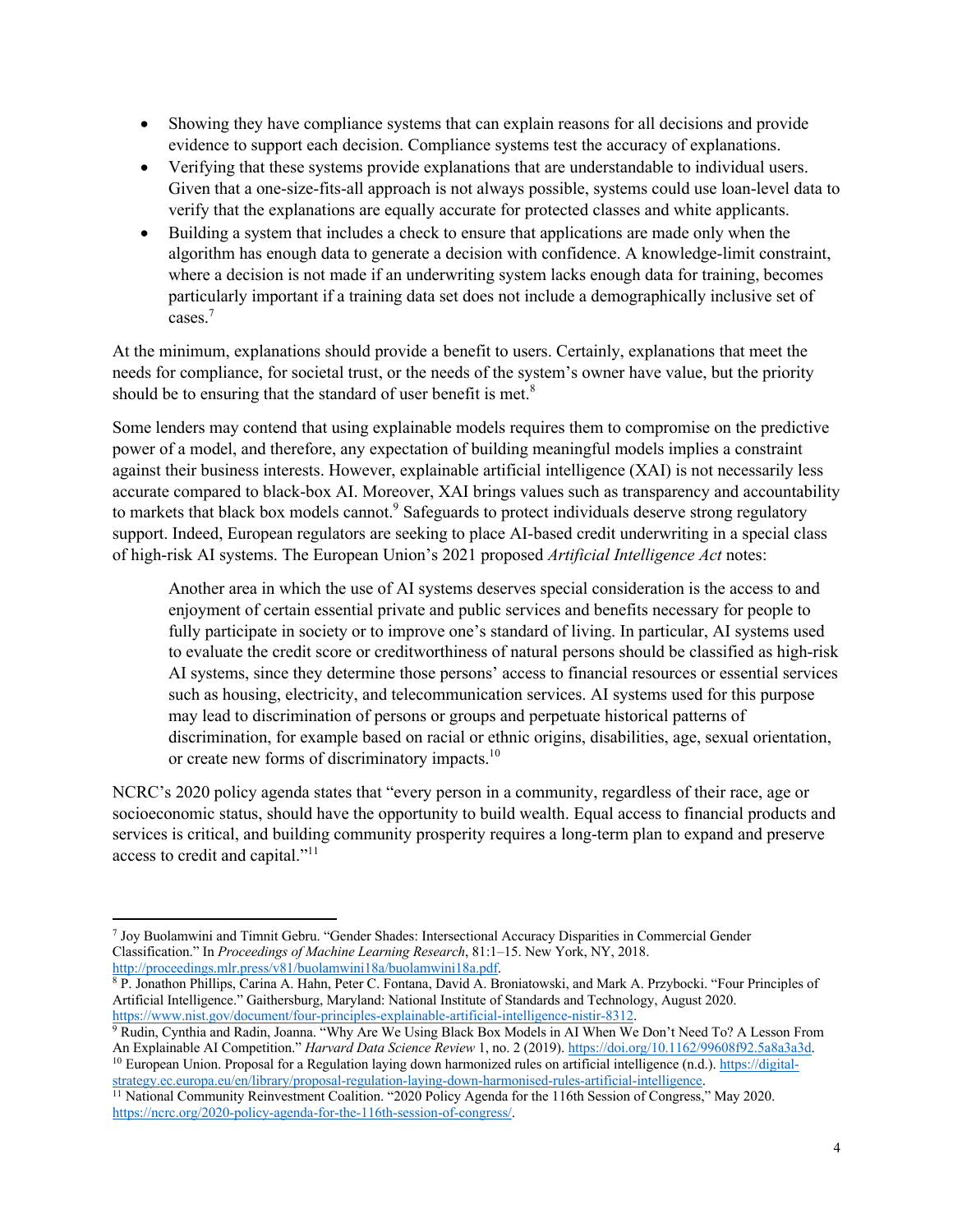- Showing they have compliance systems that can explain reasons for all decisions and provide evidence to support each decision. Compliance systems test the accuracy of explanations.
- Verifying that these systems provide explanations that are understandable to individual users. Given that a one-size-fits-all approach is not always possible, systems could use loan-level data to verify that the explanations are equally accurate for protected classes and white applicants.
- Building a system that includes a check to ensure that applications are made only when the algorithm has enough data to generate a decision with confidence. A knowledge-limit constraint, where a decision is not made if an underwriting system lacks enough data for training, becomes particularly important if a training data set does not include a demographically inclusive set of cases.7

At the minimum, explanations should provide a benefit to users. Certainly, explanations that meet the needs for compliance, for societal trust, or the needs of the system's owner have value, but the priority should be to ensuring that the standard of user benefit is met.<sup>8</sup>

Some lenders may contend that using explainable models requires them to compromise on the predictive power of a model, and therefore, any expectation of building meaningful models implies a constraint against their business interests. However, explainable artificial intelligence (XAI) is not necessarily less accurate compared to black-box AI. Moreover, XAI brings values such as transparency and accountability to markets that black box models cannot.<sup>9</sup> Safeguards to protect individuals deserve strong regulatory support. Indeed, European regulators are seeking to place AI-based credit underwriting in a special class of high-risk AI systems. The European Union's 2021 proposed *Artificial Intelligence Act* notes:

Another area in which the use of AI systems deserves special consideration is the access to and enjoyment of certain essential private and public services and benefits necessary for people to fully participate in society or to improve one's standard of living. In particular, AI systems used to evaluate the credit score or creditworthiness of natural persons should be classified as high-risk AI systems, since they determine those persons' access to financial resources or essential services such as housing, electricity, and telecommunication services. AI systems used for this purpose may lead to discrimination of persons or groups and perpetuate historical patterns of discrimination, for example based on racial or ethnic origins, disabilities, age, sexual orientation, or create new forms of discriminatory impacts.<sup>10</sup>

NCRC's 2020 policy agenda states that "every person in a community, regardless of their race, age or socioeconomic status, should have the opportunity to build wealth. Equal access to financial products and services is critical, and building community prosperity requires a long-term plan to expand and preserve access to credit and capital."<sup>11</sup>

 $10$  European Union. Proposal for a Regulation laying down harmonized rules on artificial intelligence (n.d.). https://digitalstrategy.ec.europa.eu/en/library/proposal-regulation-laying-down-harmonised-rules-artificial-intelligence.

<sup>7</sup> Joy Buolamwini and Timnit Gebru. "Gender Shades: Intersectional Accuracy Disparities in Commercial Gender Classification." In *Proceedings of Machine Learning Research*, 81:1–15. New York, NY, 2018. http://proceedings.mlr.press/v81/buolamwini18a/buolamwini18a.pdf.

<sup>&</sup>lt;sup>8</sup> P. Jonathon Phillips, Carina A. Hahn, Peter C. Fontana, David A. Broniatowski, and Mark A. Przybocki. "Four Principles of Artificial Intelligence." Gaithersburg, Maryland: National Institute of Standards and Technology, August 2020. https://www.nist.gov/document/four-principles-explainable-artificial-intelligence-nistir-8312.

<sup>9</sup> Rudin, Cynthia and Radin, Joanna. "Why Are We Using Black Box Models in AI When We Don't Need To? A Lesson From An Explainable AI Competition." *Harvard Data Science Review* 1, no. 2 (2019). https://doi.org/10.1162/99608f92.5a8a3a3d.

<sup>&</sup>lt;sup>11</sup> National Community Reinvestment Coalition. "2020 Policy Agenda for the 116th Session of Congress," May 2020. https://ncrc.org/2020-policy-agenda-for-the-116th-session-of-congress/.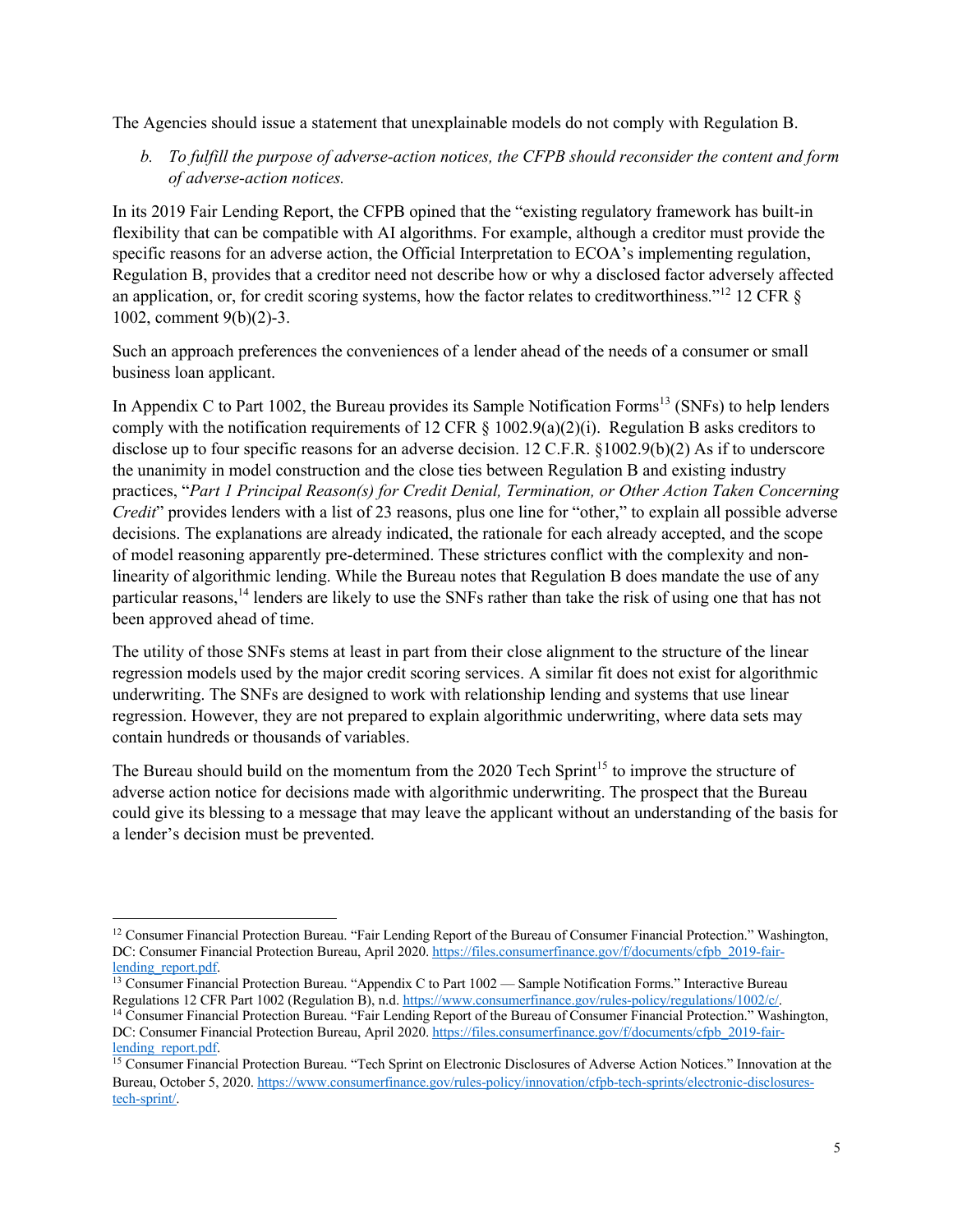The Agencies should issue a statement that unexplainable models do not comply with Regulation B.

*b. To fulfill the purpose of adverse-action notices, the CFPB should reconsider the content and form of adverse-action notices.* 

In its 2019 Fair Lending Report, the CFPB opined that the "existing regulatory framework has built-in flexibility that can be compatible with AI algorithms. For example, although a creditor must provide the specific reasons for an adverse action, the Official Interpretation to ECOA's implementing regulation, Regulation B, provides that a creditor need not describe how or why a disclosed factor adversely affected an application, or, for credit scoring systems, how the factor relates to creditworthiness."<sup>12</sup> 12 CFR  $\delta$ 1002, comment 9(b)(2)-3.

Such an approach preferences the conveniences of a lender ahead of the needs of a consumer or small business loan applicant.

In Appendix C to Part 1002, the Bureau provides its Sample Notification Forms<sup>13</sup> (SNFs) to help lenders comply with the notification requirements of 12 CFR  $\S$  1002.9(a)(2)(i). Regulation B asks creditors to disclose up to four specific reasons for an adverse decision. 12 C.F.R. §1002.9(b)(2) As if to underscore the unanimity in model construction and the close ties between Regulation B and existing industry practices, "*Part 1 Principal Reason(s) for Credit Denial, Termination, or Other Action Taken Concerning Credit*" provides lenders with a list of 23 reasons, plus one line for "other," to explain all possible adverse decisions. The explanations are already indicated, the rationale for each already accepted, and the scope of model reasoning apparently pre-determined. These strictures conflict with the complexity and nonlinearity of algorithmic lending. While the Bureau notes that Regulation B does mandate the use of any particular reasons,<sup>14</sup> lenders are likely to use the SNFs rather than take the risk of using one that has not been approved ahead of time.

The utility of those SNFs stems at least in part from their close alignment to the structure of the linear regression models used by the major credit scoring services. A similar fit does not exist for algorithmic underwriting. The SNFs are designed to work with relationship lending and systems that use linear regression. However, they are not prepared to explain algorithmic underwriting, where data sets may contain hundreds or thousands of variables.

The Bureau should build on the momentum from the 2020 Tech Sprint<sup>15</sup> to improve the structure of adverse action notice for decisions made with algorithmic underwriting. The prospect that the Bureau could give its blessing to a message that may leave the applicant without an understanding of the basis for a lender's decision must be prevented.

<sup>&</sup>lt;sup>12</sup> Consumer Financial Protection Bureau. "Fair Lending Report of the Bureau of Consumer Financial Protection." Washington, DC: Consumer Financial Protection Bureau, April 2020. https://files.consumerfinance.gov/f/documents/cfpb\_2019-fairlending\_report.pdf.

<sup>&</sup>lt;sup>13</sup> Consumer Financial Protection Bureau. "Appendix C to Part 1002 — Sample Notification Forms." Interactive Bureau Regulations 12 CFR Part 1002 (Regulation B), n.d. https://www.consumerfinance.gov/rules-policy/regulations/1002/c/.

<sup>&</sup>lt;sup>14</sup> Consumer Financial Protection Bureau. "Fair Lending Report of the Bureau of Consumer Financial Protection." Washington, DC: Consumer Financial Protection Bureau, April 2020. https://files.consumerfinance.gov/f/documents/cfpb\_2019-fairlending report.pdf.

<sup>&</sup>lt;sup>15</sup> Consumer Financial Protection Bureau. "Tech Sprint on Electronic Disclosures of Adverse Action Notices." Innovation at the Bureau, October 5, 2020. https://www.consumerfinance.gov/rules-policy/innovation/cfpb-tech-sprints/electronic-disclosurestech-sprint/.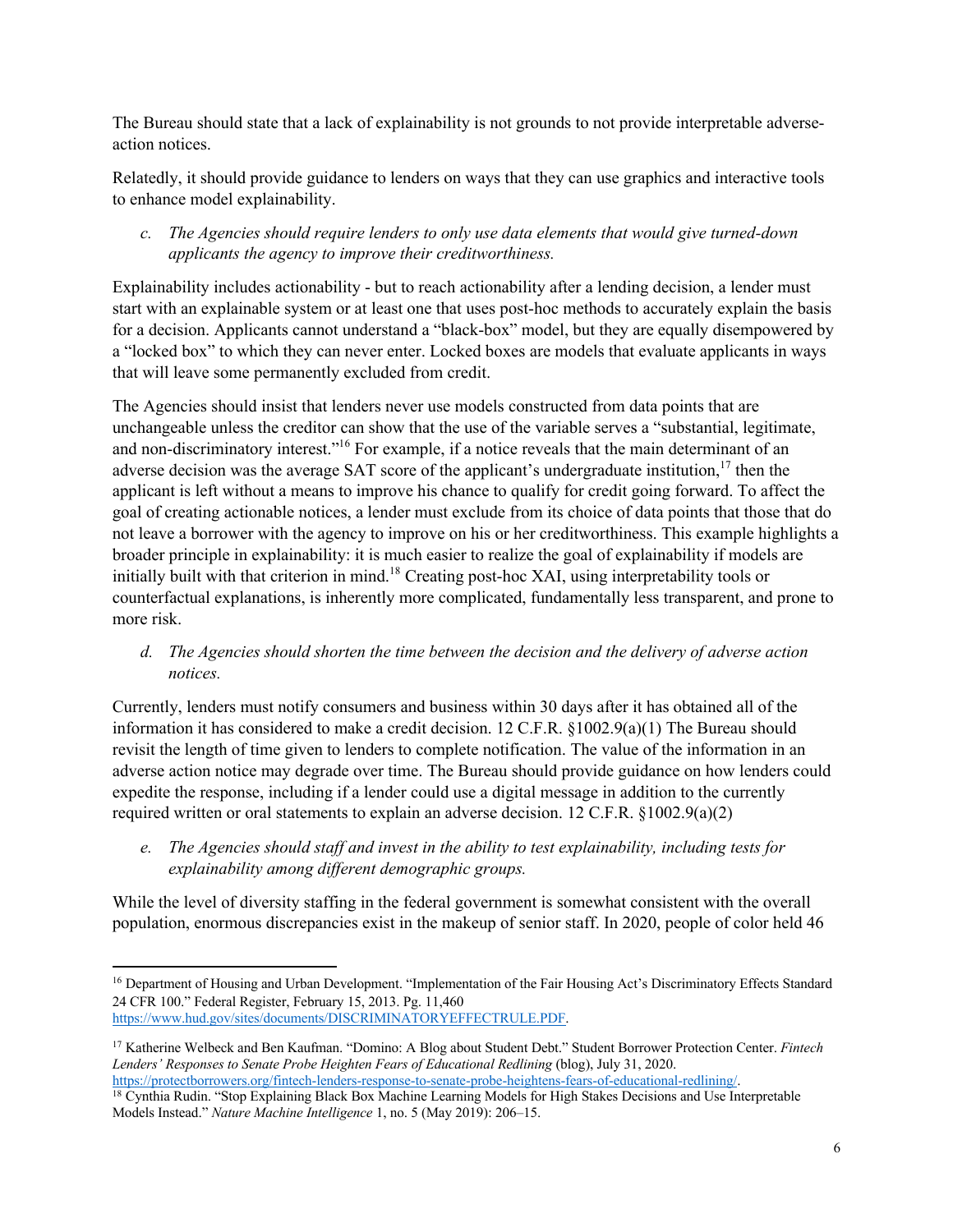The Bureau should state that a lack of explainability is not grounds to not provide interpretable adverseaction notices.

Relatedly, it should provide guidance to lenders on ways that they can use graphics and interactive tools to enhance model explainability.

# *c. The Agencies should require lenders to only use data elements that would give turned-down applicants the agency to improve their creditworthiness.*

Explainability includes actionability - but to reach actionability after a lending decision, a lender must start with an explainable system or at least one that uses post-hoc methods to accurately explain the basis for a decision. Applicants cannot understand a "black-box" model, but they are equally disempowered by a "locked box" to which they can never enter. Locked boxes are models that evaluate applicants in ways that will leave some permanently excluded from credit.

The Agencies should insist that lenders never use models constructed from data points that are unchangeable unless the creditor can show that the use of the variable serves a "substantial, legitimate, and non-discriminatory interest."16 For example, if a notice reveals that the main determinant of an adverse decision was the average SAT score of the applicant's undergraduate institution, $17$  then the applicant is left without a means to improve his chance to qualify for credit going forward. To affect the goal of creating actionable notices, a lender must exclude from its choice of data points that those that do not leave a borrower with the agency to improve on his or her creditworthiness. This example highlights a broader principle in explainability: it is much easier to realize the goal of explainability if models are initially built with that criterion in mind.<sup>18</sup> Creating post-hoc XAI, using interpretability tools or counterfactual explanations, is inherently more complicated, fundamentally less transparent, and prone to more risk.

### *d. The Agencies should shorten the time between the decision and the delivery of adverse action notices.*

Currently, lenders must notify consumers and business within 30 days after it has obtained all of the information it has considered to make a credit decision. 12 C.F.R. §1002.9(a)(1) The Bureau should revisit the length of time given to lenders to complete notification. The value of the information in an adverse action notice may degrade over time. The Bureau should provide guidance on how lenders could expedite the response, including if a lender could use a digital message in addition to the currently required written or oral statements to explain an adverse decision. 12 C.F.R. §1002.9(a)(2)

*e. The Agencies should staff and invest in the ability to test explainability, including tests for explainability among different demographic groups.*

While the level of diversity staffing in the federal government is somewhat consistent with the overall population, enormous discrepancies exist in the makeup of senior staff. In 2020, people of color held 46

<sup>&</sup>lt;sup>16</sup> Department of Housing and Urban Development. "Implementation of the Fair Housing Act's Discriminatory Effects Standard 24 CFR 100." Federal Register, February 15, 2013. Pg. 11,460 https://www.hud.gov/sites/documents/DISCRIMINATORYEFFECTRULE.PDF.

<sup>17</sup> Katherine Welbeck and Ben Kaufman. "Domino: A Blog about Student Debt." Student Borrower Protection Center. *Fintech Lenders' Responses to Senate Probe Heighten Fears of Educational Redlining* (blog), July 31, 2020. https://protectborrowers.org/fintech-lenders-response-to-senate-probe-heightens-fears-of-educational-redlining/.

<sup>&</sup>lt;sup>18</sup> Cynthia Rudin. "Stop Explaining Black Box Machine Learning Models for High Stakes Decisions and Use Interpretable Models Instead." *Nature Machine Intelligence* 1, no. 5 (May 2019): 206–15.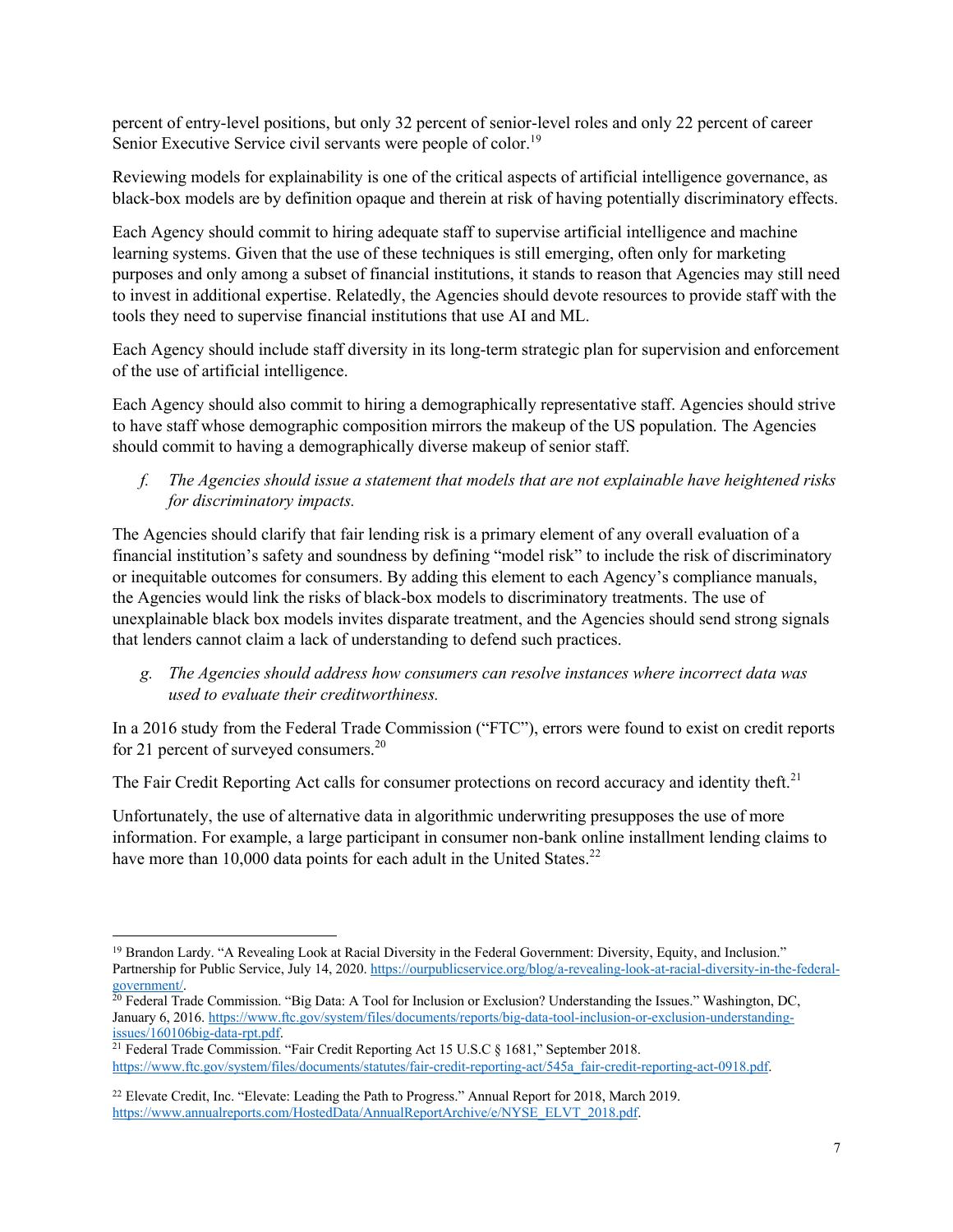percent of entry-level positions, but only 32 percent of senior-level roles and only 22 percent of career Senior Executive Service civil servants were people of color.<sup>19</sup>

Reviewing models for explainability is one of the critical aspects of artificial intelligence governance, as black-box models are by definition opaque and therein at risk of having potentially discriminatory effects.

Each Agency should commit to hiring adequate staff to supervise artificial intelligence and machine learning systems. Given that the use of these techniques is still emerging, often only for marketing purposes and only among a subset of financial institutions, it stands to reason that Agencies may still need to invest in additional expertise. Relatedly, the Agencies should devote resources to provide staff with the tools they need to supervise financial institutions that use AI and ML.

Each Agency should include staff diversity in its long-term strategic plan for supervision and enforcement of the use of artificial intelligence.

Each Agency should also commit to hiring a demographically representative staff. Agencies should strive to have staff whose demographic composition mirrors the makeup of the US population. The Agencies should commit to having a demographically diverse makeup of senior staff.

*f. The Agencies should issue a statement that models that are not explainable have heightened risks for discriminatory impacts.*

The Agencies should clarify that fair lending risk is a primary element of any overall evaluation of a financial institution's safety and soundness by defining "model risk" to include the risk of discriminatory or inequitable outcomes for consumers. By adding this element to each Agency's compliance manuals, the Agencies would link the risks of black-box models to discriminatory treatments. The use of unexplainable black box models invites disparate treatment, and the Agencies should send strong signals that lenders cannot claim a lack of understanding to defend such practices.

*g. The Agencies should address how consumers can resolve instances where incorrect data was used to evaluate their creditworthiness.*

In a 2016 study from the Federal Trade Commission ("FTC"), errors were found to exist on credit reports for 21 percent of surveyed consumers.<sup>20</sup>

The Fair Credit Reporting Act calls for consumer protections on record accuracy and identity theft.<sup>21</sup>

Unfortunately, the use of alternative data in algorithmic underwriting presupposes the use of more information. For example, a large participant in consumer non-bank online installment lending claims to have more than 10,000 data points for each adult in the United States.<sup>22</sup>

<sup>&</sup>lt;sup>19</sup> Brandon Lardy. "A Revealing Look at Racial Diversity in the Federal Government: Diversity, Equity, and Inclusion." Partnership for Public Service, July 14, 2020. https://ourpublicservice.org/blog/a-revealing-look-at-racial-diversity-in-the-federalgovernment/.

<sup>&</sup>lt;sup>20</sup> Federal Trade Commission. "Big Data: A Tool for Inclusion or Exclusion? Understanding the Issues." Washington, DC, January 6, 2016. https://www.ftc.gov/system/files/documents/reports/big-data-tool-inclusion-or-exclusion-understandingissues/160106big-data-rpt.pdf.

<sup>21</sup> Federal Trade Commission. "Fair Credit Reporting Act 15 U.S.C § 1681," September 2018. https://www.ftc.gov/system/files/documents/statutes/fair-credit-reporting-act/545a\_fair-credit-reporting-act-0918.pdf.

<sup>&</sup>lt;sup>22</sup> Elevate Credit, Inc. "Elevate: Leading the Path to Progress." Annual Report for 2018, March 2019. https://www.annualreports.com/HostedData/AnnualReportArchive/e/NYSE\_ELVT\_2018.pdf.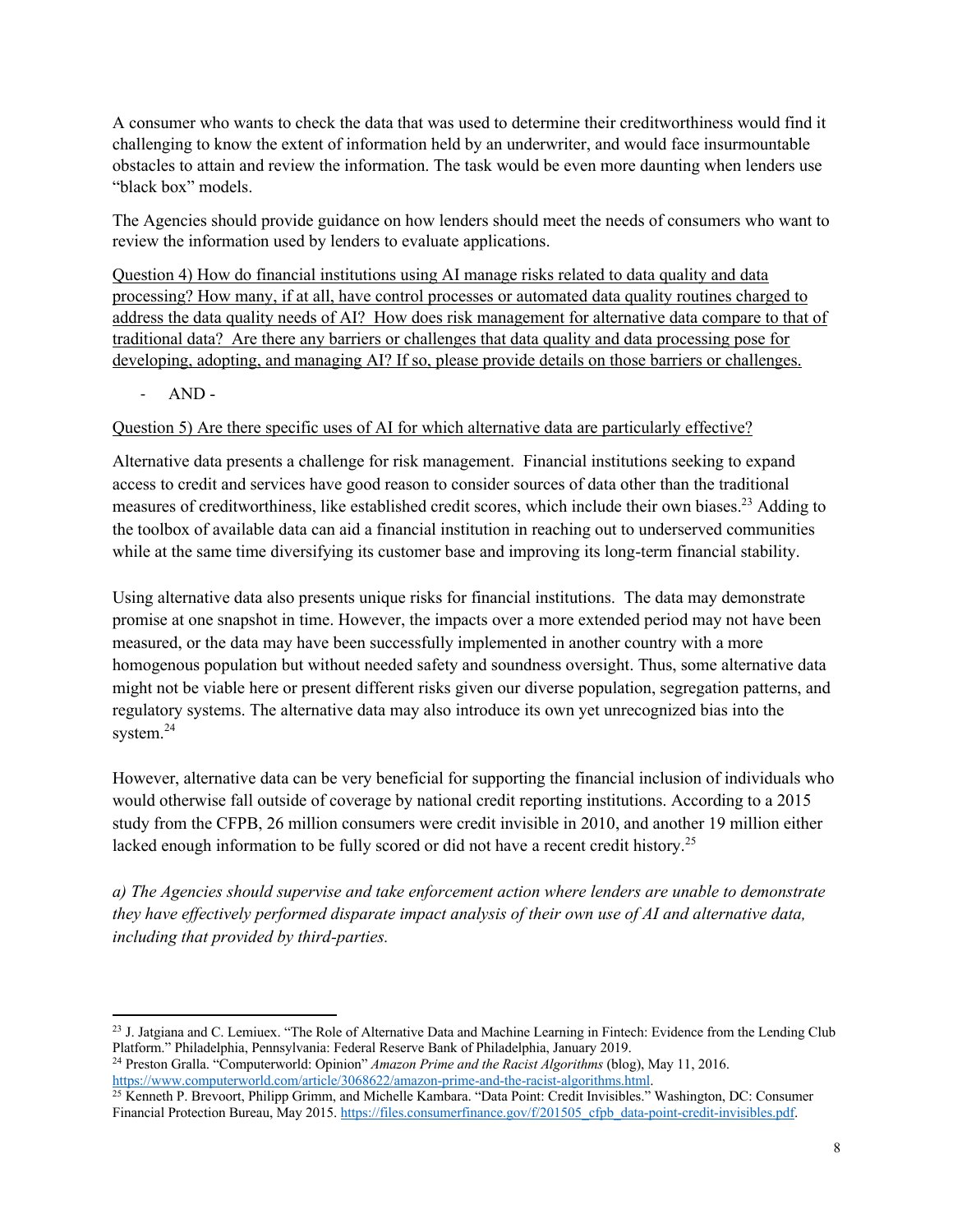A consumer who wants to check the data that was used to determine their creditworthiness would find it challenging to know the extent of information held by an underwriter, and would face insurmountable obstacles to attain and review the information. The task would be even more daunting when lenders use "black box" models.

The Agencies should provide guidance on how lenders should meet the needs of consumers who want to review the information used by lenders to evaluate applications.

Question 4) How do financial institutions using AI manage risks related to data quality and data processing? How many, if at all, have control processes or automated data quality routines charged to address the data quality needs of AI? How does risk management for alternative data compare to that of traditional data? Are there any barriers or challenges that data quality and data processing pose for developing, adopting, and managing AI? If so, please provide details on those barriers or challenges.

- AND -

### Question 5) Are there specific uses of AI for which alternative data are particularly effective?

Alternative data presents a challenge for risk management. Financial institutions seeking to expand access to credit and services have good reason to consider sources of data other than the traditional measures of creditworthiness, like established credit scores, which include their own biases.<sup>23</sup> Adding to the toolbox of available data can aid a financial institution in reaching out to underserved communities while at the same time diversifying its customer base and improving its long-term financial stability.

Using alternative data also presents unique risks for financial institutions. The data may demonstrate promise at one snapshot in time. However, the impacts over a more extended period may not have been measured, or the data may have been successfully implemented in another country with a more homogenous population but without needed safety and soundness oversight. Thus, some alternative data might not be viable here or present different risks given our diverse population, segregation patterns, and regulatory systems. The alternative data may also introduce its own yet unrecognized bias into the system.<sup>24</sup>

However, alternative data can be very beneficial for supporting the financial inclusion of individuals who would otherwise fall outside of coverage by national credit reporting institutions. According to a 2015 study from the CFPB, 26 million consumers were credit invisible in 2010, and another 19 million either lacked enough information to be fully scored or did not have a recent credit history.<sup>25</sup>

*a) The Agencies should supervise and take enforcement action where lenders are unable to demonstrate they have effectively performed disparate impact analysis of their own use of AI and alternative data, including that provided by third-parties.* 

<sup>&</sup>lt;sup>23</sup> J. Jatgiana and C. Lemiuex. "The Role of Alternative Data and Machine Learning in Fintech: Evidence from the Lending Club Platform." Philadelphia, Pennsylvania: Federal Reserve Bank of Philadelphia, January 2019.

<sup>24</sup> Preston Gralla. "Computerworld: Opinion" *Amazon Prime and the Racist Algorithms* (blog), May 11, 2016. https://www.computerworld.com/article/3068622/amazon-prime-and-the-racist-algorithms.html.

<sup>25</sup> Kenneth P. Brevoort, Philipp Grimm, and Michelle Kambara. "Data Point: Credit Invisibles." Washington, DC: Consumer Financial Protection Bureau, May 2015. https://files.consumerfinance.gov/f/201505\_cfpb\_data-point-credit-invisibles.pdf.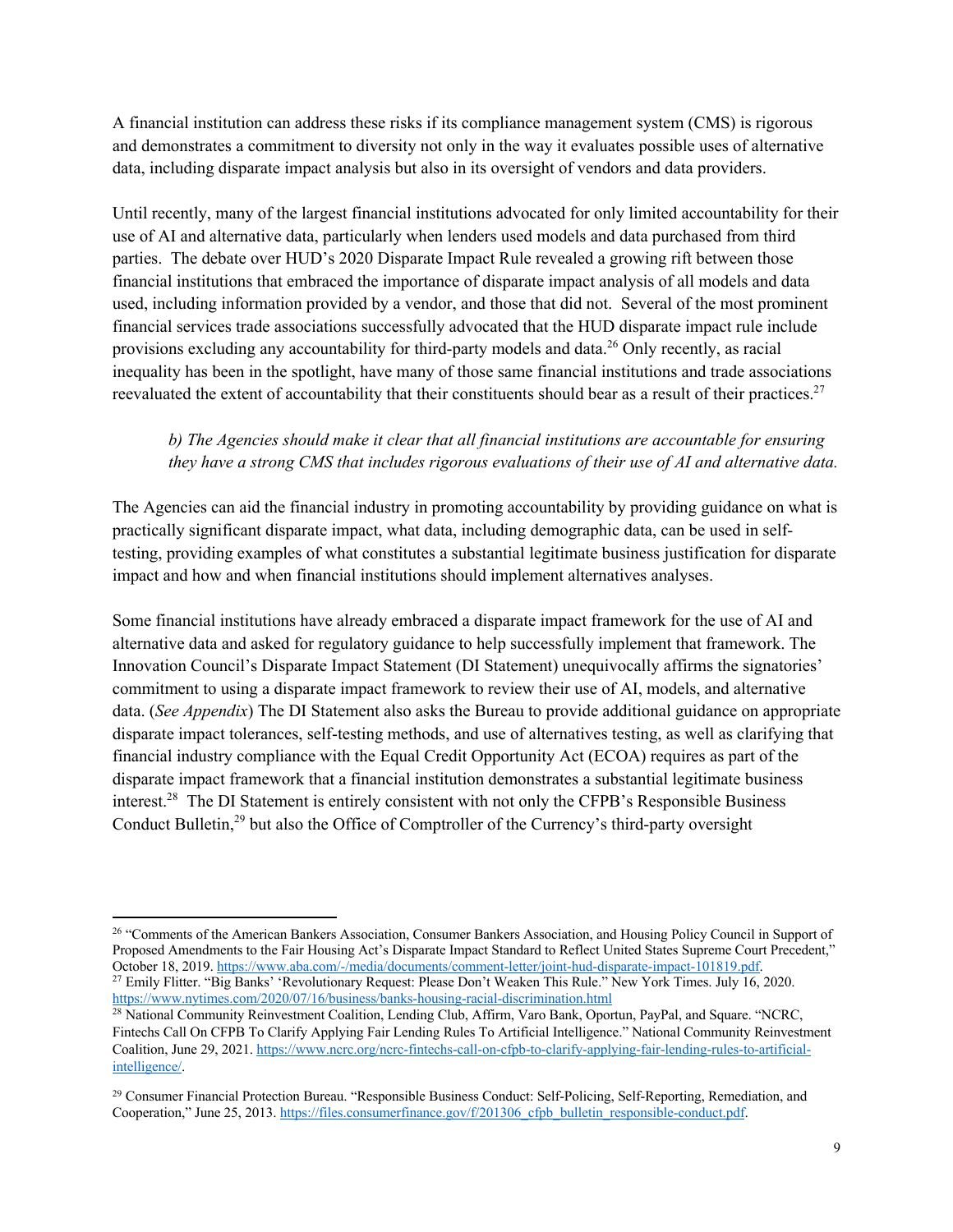A financial institution can address these risks if its compliance management system (CMS) is rigorous and demonstrates a commitment to diversity not only in the way it evaluates possible uses of alternative data, including disparate impact analysis but also in its oversight of vendors and data providers.

Until recently, many of the largest financial institutions advocated for only limited accountability for their use of AI and alternative data, particularly when lenders used models and data purchased from third parties. The debate over HUD's 2020 Disparate Impact Rule revealed a growing rift between those financial institutions that embraced the importance of disparate impact analysis of all models and data used, including information provided by a vendor, and those that did not. Several of the most prominent financial services trade associations successfully advocated that the HUD disparate impact rule include provisions excluding any accountability for third-party models and data.26 Only recently, as racial inequality has been in the spotlight, have many of those same financial institutions and trade associations reevaluated the extent of accountability that their constituents should bear as a result of their practices.<sup>27</sup>

# *b) The Agencies should make it clear that all financial institutions are accountable for ensuring they have a strong CMS that includes rigorous evaluations of their use of AI and alternative data.*

The Agencies can aid the financial industry in promoting accountability by providing guidance on what is practically significant disparate impact, what data, including demographic data, can be used in selftesting, providing examples of what constitutes a substantial legitimate business justification for disparate impact and how and when financial institutions should implement alternatives analyses.

Some financial institutions have already embraced a disparate impact framework for the use of AI and alternative data and asked for regulatory guidance to help successfully implement that framework. The Innovation Council's Disparate Impact Statement (DI Statement) unequivocally affirms the signatories' commitment to using a disparate impact framework to review their use of AI, models, and alternative data. (*See Appendix*) The DI Statement also asks the Bureau to provide additional guidance on appropriate disparate impact tolerances, self-testing methods, and use of alternatives testing, as well as clarifying that financial industry compliance with the Equal Credit Opportunity Act (ECOA) requires as part of the disparate impact framework that a financial institution demonstrates a substantial legitimate business interest.28 The DI Statement is entirely consistent with not only the CFPB's Responsible Business Conduct Bulletin,<sup>29</sup> but also the Office of Comptroller of the Currency's third-party oversight

<sup>&</sup>lt;sup>26</sup> "Comments of the American Bankers Association, Consumer Bankers Association, and Housing Policy Council in Support of Proposed Amendments to the Fair Housing Act's Disparate Impact Standard to Reflect United States Supreme Court Precedent," October 18, 2019. https://www.aba.com/-/media/documents/comment-letter/joint-hud-disparate-impact-101819.pdf. <sup>27</sup> Emily Flitter. "Big Banks' 'Revolutionary Request: Please Don't Weaken This Rule." New York Times. July 16, 2020. https://www.nytimes.com/2020/07/16/business/banks-housing-racial-discrimination.html

<sup>28</sup> National Community Reinvestment Coalition, Lending Club, Affirm, Varo Bank, Oportun, PayPal, and Square. "NCRC, Fintechs Call On CFPB To Clarify Applying Fair Lending Rules To Artificial Intelligence." National Community Reinvestment Coalition, June 29, 2021. https://www.ncrc.org/ncrc-fintechs-call-on-cfpb-to-clarify-applying-fair-lending-rules-to-artificialintelligence/.

<sup>&</sup>lt;sup>29</sup> Consumer Financial Protection Bureau. "Responsible Business Conduct: Self-Policing, Self-Reporting, Remediation, and Cooperation," June 25, 2013. https://files.consumerfinance.gov/f/201306\_cfpb\_bulletin\_responsible-conduct.pdf.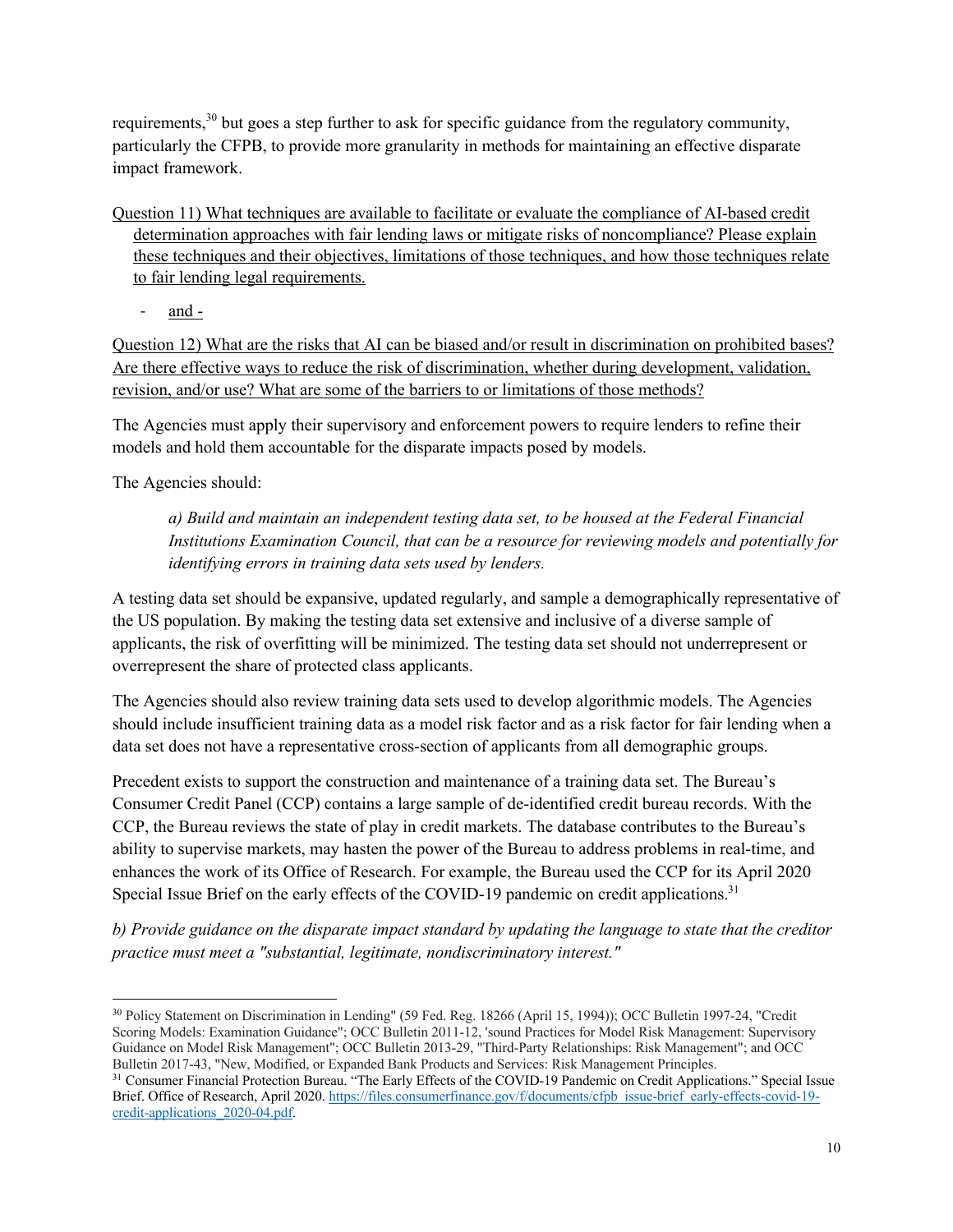requirements,<sup>30</sup> but goes a step further to ask for specific guidance from the regulatory community, particularly the CFPB, to provide more granularity in methods for maintaining an effective disparate impact framework.

- Question 11) What techniques are available to facilitate or evaluate the compliance of AI-based credit determination approaches with fair lending laws or mitigate risks of noncompliance? Please explain these techniques and their objectives, limitations of those techniques, and how those techniques relate to fair lending legal requirements.
	- and -

Question 12) What are the risks that AI can be biased and/or result in discrimination on prohibited bases? Are there effective ways to reduce the risk of discrimination, whether during development, validation, revision, and/or use? What are some of the barriers to or limitations of those methods?

The Agencies must apply their supervisory and enforcement powers to require lenders to refine their models and hold them accountable for the disparate impacts posed by models.

The Agencies should:

*a) Build and maintain an independent testing data set, to be housed at the Federal Financial Institutions Examination Council, that can be a resource for reviewing models and potentially for identifying errors in training data sets used by lenders.*

A testing data set should be expansive, updated regularly, and sample a demographically representative of the US population. By making the testing data set extensive and inclusive of a diverse sample of applicants, the risk of overfitting will be minimized. The testing data set should not underrepresent or overrepresent the share of protected class applicants.

The Agencies should also review training data sets used to develop algorithmic models. The Agencies should include insufficient training data as a model risk factor and as a risk factor for fair lending when a data set does not have a representative cross-section of applicants from all demographic groups.

Precedent exists to support the construction and maintenance of a training data set. The Bureau's Consumer Credit Panel (CCP) contains a large sample of de-identified credit bureau records. With the CCP, the Bureau reviews the state of play in credit markets. The database contributes to the Bureau's ability to supervise markets, may hasten the power of the Bureau to address problems in real-time, and enhances the work of its Office of Research. For example, the Bureau used the CCP for its April 2020 Special Issue Brief on the early effects of the COVID-19 pandemic on credit applications.<sup>31</sup>

*b) Provide guidance on the disparate impact standard by updating the language to state that the creditor practice must meet a "substantial, legitimate, nondiscriminatory interest."*

<sup>30</sup> Policy Statement on Discrimination in Lending" (59 Fed. Reg. 18266 (April 15, 1994)); OCC Bulletin 1997-24, "Credit Scoring Models: Examination Guidance"; OCC Bulletin 2011-12, 'sound Practices for Model Risk Management: Supervisory Guidance on Model Risk Management"; OCC Bulletin 2013-29, "Third-Party Relationships: Risk Management"; and OCC Bulletin 2017-43, "New, Modified, or Expanded Bank Products and Services: Risk Management Principles.

<sup>&</sup>lt;sup>31</sup> Consumer Financial Protection Bureau. "The Early Effects of the COVID-19 Pandemic on Credit Applications." Special Issue Brief. Office of Research, April 2020. https://files.consumerfinance.gov/f/documents/cfpb\_issue-brief\_early-effects-covid-19credit-applications\_2020-04.pdf.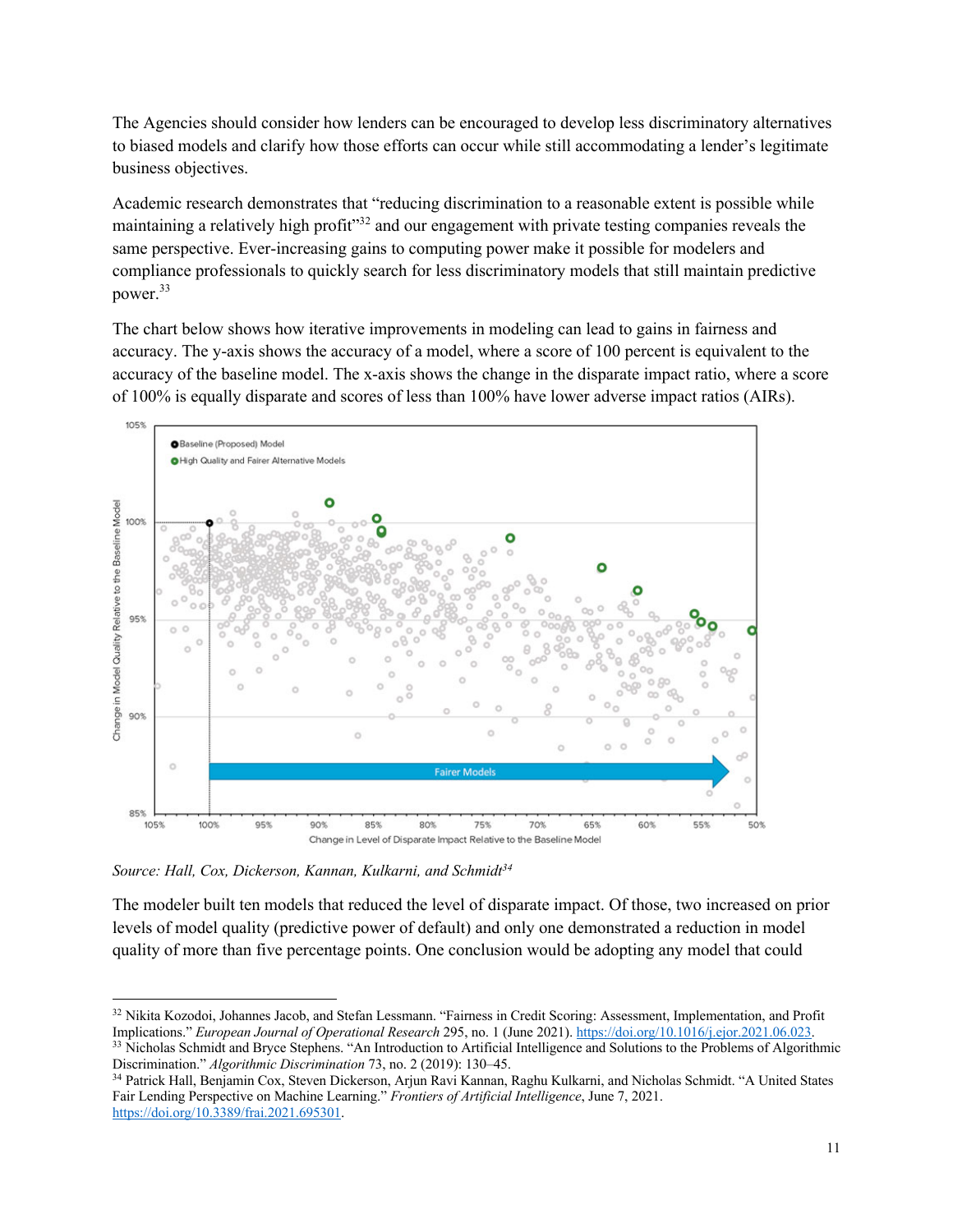The Agencies should consider how lenders can be encouraged to develop less discriminatory alternatives to biased models and clarify how those efforts can occur while still accommodating a lender's legitimate business objectives.

Academic research demonstrates that "reducing discrimination to a reasonable extent is possible while maintaining a relatively high profit"<sup>32</sup> and our engagement with private testing companies reveals the same perspective. Ever-increasing gains to computing power make it possible for modelers and compliance professionals to quickly search for less discriminatory models that still maintain predictive power.33

The chart below shows how iterative improvements in modeling can lead to gains in fairness and accuracy. The y-axis shows the accuracy of a model, where a score of 100 percent is equivalent to the accuracy of the baseline model. The x-axis shows the change in the disparate impact ratio, where a score of 100% is equally disparate and scores of less than 100% have lower adverse impact ratios (AIRs).



Source: Hall, Cox, Dickerson, Kannan, Kulkarni, and Schmidt<sup>34</sup>

The modeler built ten models that reduced the level of disparate impact. Of those, two increased on prior levels of model quality (predictive power of default) and only one demonstrated a reduction in model quality of more than five percentage points. One conclusion would be adopting any model that could

<sup>&</sup>lt;sup>32</sup> Nikita Kozodoi, Johannes Jacob, and Stefan Lessmann. "Fairness in Credit Scoring: Assessment, Implementation, and Profit Implications." *European Journal of Operational Research* 295, no. 1 (June 2021). https://doi.org/10.1016/j.ejor.2021.06.023. <sup>33</sup> Nicholas Schmidt and Bryce Stephens. "An Introduction to Artificial Intelligence and Solutions to the Problems of Algorithmic

Discrimination." *Algorithmic Discrimination* 73, no. 2 (2019): 130–45.

<sup>34</sup> Patrick Hall, Benjamin Cox, Steven Dickerson, Arjun Ravi Kannan, Raghu Kulkarni, and Nicholas Schmidt. "A United States Fair Lending Perspective on Machine Learning." *Frontiers of Artificial Intelligence*, June 7, 2021. https://doi.org/10.3389/frai.2021.695301.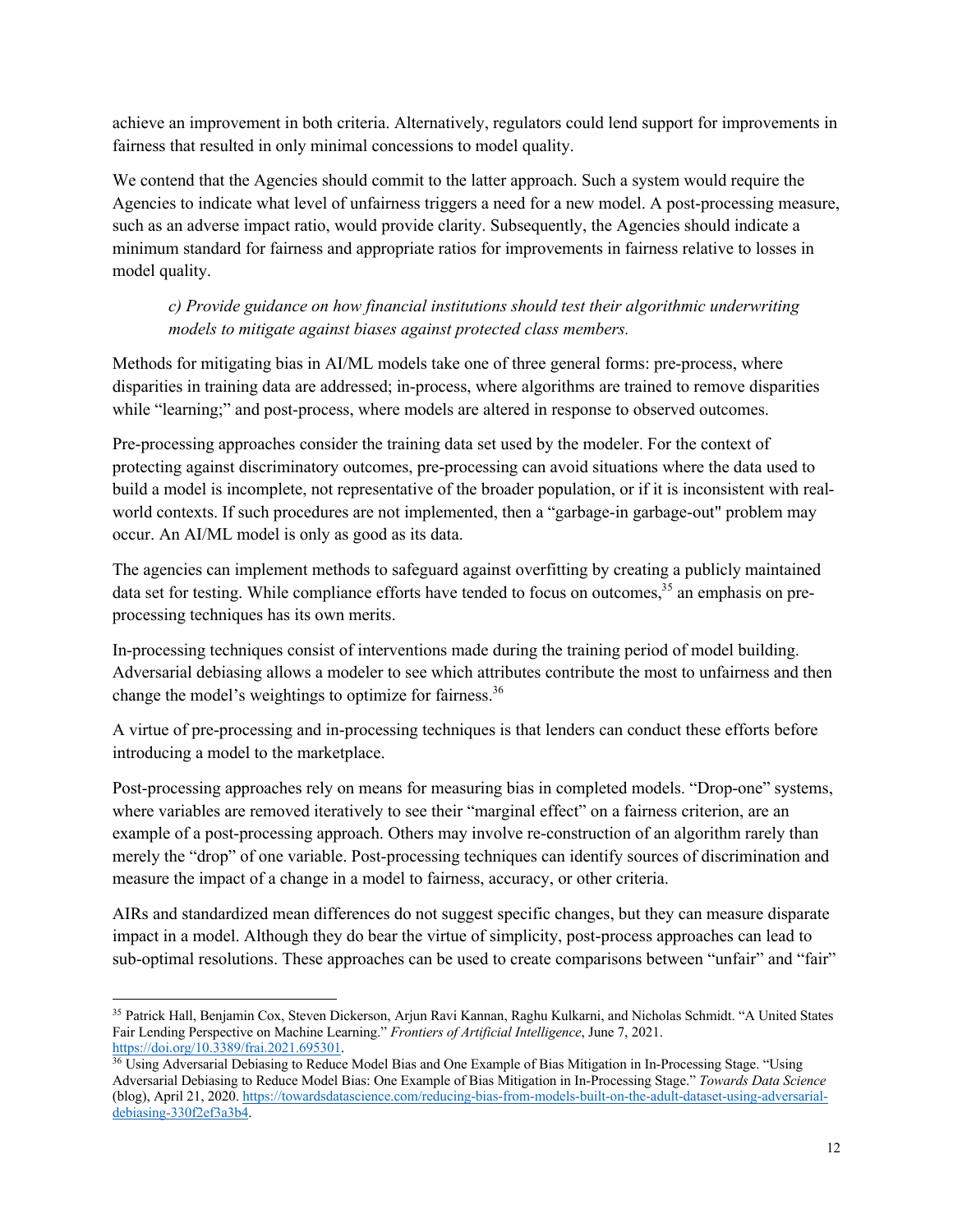achieve an improvement in both criteria. Alternatively, regulators could lend support for improvements in fairness that resulted in only minimal concessions to model quality.

We contend that the Agencies should commit to the latter approach. Such a system would require the Agencies to indicate what level of unfairness triggers a need for a new model. A post-processing measure, such as an adverse impact ratio, would provide clarity. Subsequently, the Agencies should indicate a minimum standard for fairness and appropriate ratios for improvements in fairness relative to losses in model quality.

# *c) Provide guidance on how financial institutions should test their algorithmic underwriting models to mitigate against biases against protected class members.*

Methods for mitigating bias in AI/ML models take one of three general forms: pre-process, where disparities in training data are addressed; in-process, where algorithms are trained to remove disparities while "learning;" and post-process, where models are altered in response to observed outcomes.

Pre-processing approaches consider the training data set used by the modeler. For the context of protecting against discriminatory outcomes, pre-processing can avoid situations where the data used to build a model is incomplete, not representative of the broader population, or if it is inconsistent with realworld contexts. If such procedures are not implemented, then a "garbage-in garbage-out" problem may occur. An AI/ML model is only as good as its data.

The agencies can implement methods to safeguard against overfitting by creating a publicly maintained data set for testing. While compliance efforts have tended to focus on outcomes,<sup>35</sup> an emphasis on preprocessing techniques has its own merits.

In-processing techniques consist of interventions made during the training period of model building. Adversarial debiasing allows a modeler to see which attributes contribute the most to unfairness and then change the model's weightings to optimize for fairness.<sup>36</sup>

A virtue of pre-processing and in-processing techniques is that lenders can conduct these efforts before introducing a model to the marketplace.

Post-processing approaches rely on means for measuring bias in completed models. "Drop-one" systems, where variables are removed iteratively to see their "marginal effect" on a fairness criterion, are an example of a post-processing approach. Others may involve re-construction of an algorithm rarely than merely the "drop" of one variable. Post-processing techniques can identify sources of discrimination and measure the impact of a change in a model to fairness, accuracy, or other criteria.

AIRs and standardized mean differences do not suggest specific changes, but they can measure disparate impact in a model. Although they do bear the virtue of simplicity, post-process approaches can lead to sub-optimal resolutions. These approaches can be used to create comparisons between "unfair" and "fair"

<sup>35</sup> Patrick Hall, Benjamin Cox, Steven Dickerson, Arjun Ravi Kannan, Raghu Kulkarni, and Nicholas Schmidt. "A United States Fair Lending Perspective on Machine Learning." *Frontiers of Artificial Intelligence*, June 7, 2021. https://doi.org/10.3389/frai.2021.695301.

<sup>&</sup>lt;sup>36</sup> Using Adversarial Debiasing to Reduce Model Bias and One Example of Bias Mitigation in In-Processing Stage. "Using Adversarial Debiasing to Reduce Model Bias: One Example of Bias Mitigation in In-Processing Stage." *Towards Data Science* (blog), April 21, 2020. https://towardsdatascience.com/reducing-bias-from-models-built-on-the-adult-dataset-using-adversarialdebiasing-330f2ef3a3b4.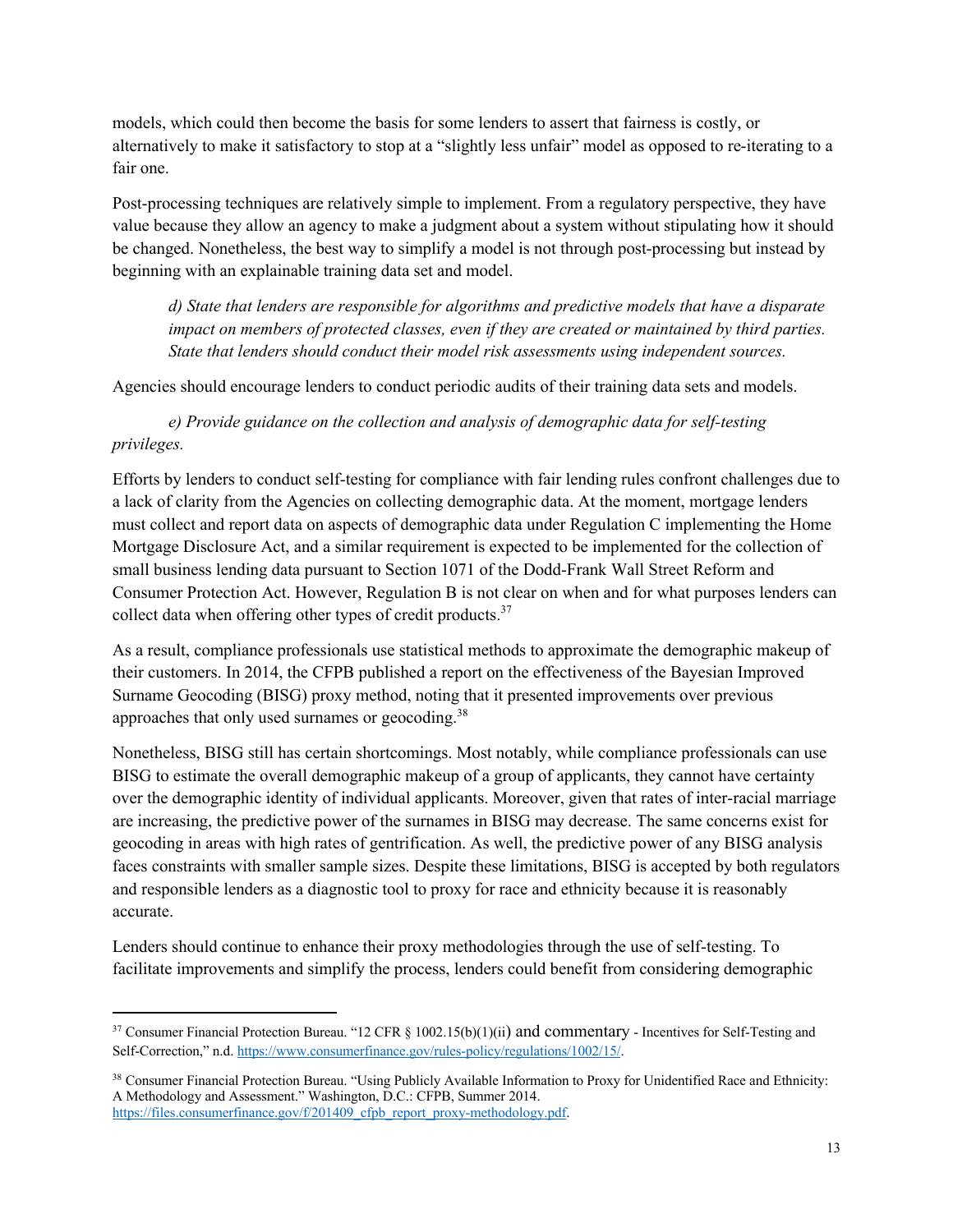models, which could then become the basis for some lenders to assert that fairness is costly, or alternatively to make it satisfactory to stop at a "slightly less unfair" model as opposed to re-iterating to a fair one.

Post-processing techniques are relatively simple to implement. From a regulatory perspective, they have value because they allow an agency to make a judgment about a system without stipulating how it should be changed. Nonetheless, the best way to simplify a model is not through post-processing but instead by beginning with an explainable training data set and model.

*d) State that lenders are responsible for algorithms and predictive models that have a disparate impact on members of protected classes, even if they are created or maintained by third parties. State that lenders should conduct their model risk assessments using independent sources.* 

Agencies should encourage lenders to conduct periodic audits of their training data sets and models.

*e) Provide guidance on the collection and analysis of demographic data for self-testing privileges.*

Efforts by lenders to conduct self-testing for compliance with fair lending rules confront challenges due to a lack of clarity from the Agencies on collecting demographic data. At the moment, mortgage lenders must collect and report data on aspects of demographic data under Regulation C implementing the Home Mortgage Disclosure Act, and a similar requirement is expected to be implemented for the collection of small business lending data pursuant to Section 1071 of the Dodd-Frank Wall Street Reform and Consumer Protection Act. However, Regulation B is not clear on when and for what purposes lenders can collect data when offering other types of credit products.<sup>37</sup>

As a result, compliance professionals use statistical methods to approximate the demographic makeup of their customers. In 2014, the CFPB published a report on the effectiveness of the Bayesian Improved Surname Geocoding (BISG) proxy method, noting that it presented improvements over previous approaches that only used surnames or geocoding.<sup>38</sup>

Nonetheless, BISG still has certain shortcomings. Most notably, while compliance professionals can use BISG to estimate the overall demographic makeup of a group of applicants, they cannot have certainty over the demographic identity of individual applicants. Moreover, given that rates of inter-racial marriage are increasing, the predictive power of the surnames in BISG may decrease. The same concerns exist for geocoding in areas with high rates of gentrification. As well, the predictive power of any BISG analysis faces constraints with smaller sample sizes. Despite these limitations, BISG is accepted by both regulators and responsible lenders as a diagnostic tool to proxy for race and ethnicity because it is reasonably accurate.

Lenders should continue to enhance their proxy methodologies through the use of self-testing. To facilitate improvements and simplify the process, lenders could benefit from considering demographic

<sup>&</sup>lt;sup>37</sup> Consumer Financial Protection Bureau. "12 CFR § 1002.15(b)(1)(ii) and commentary - Incentives for Self-Testing and Self-Correction," n.d. https://www.consumerfinance.gov/rules-policy/regulations/1002/15/.

<sup>38</sup> Consumer Financial Protection Bureau. "Using Publicly Available Information to Proxy for Unidentified Race and Ethnicity: A Methodology and Assessment." Washington, D.C.: CFPB, Summer 2014. https://files.consumerfinance.gov/f/201409\_cfpb\_report\_proxy-methodology.pdf.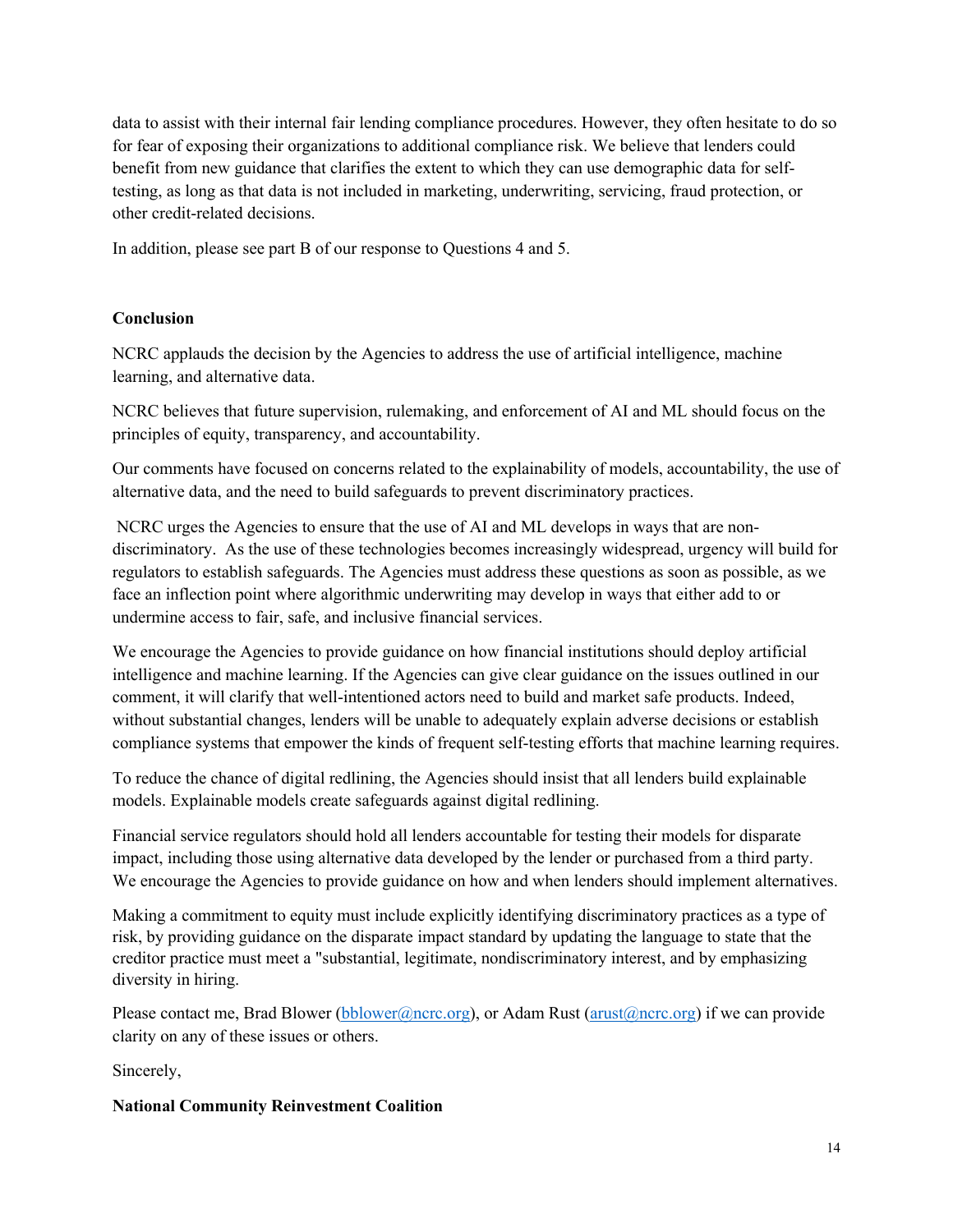data to assist with their internal fair lending compliance procedures. However, they often hesitate to do so for fear of exposing their organizations to additional compliance risk. We believe that lenders could benefit from new guidance that clarifies the extent to which they can use demographic data for selftesting, as long as that data is not included in marketing, underwriting, servicing, fraud protection, or other credit-related decisions.

In addition, please see part B of our response to Questions 4 and 5.

### **Conclusion**

NCRC applauds the decision by the Agencies to address the use of artificial intelligence, machine learning, and alternative data.

NCRC believes that future supervision, rulemaking, and enforcement of AI and ML should focus on the principles of equity, transparency, and accountability.

Our comments have focused on concerns related to the explainability of models, accountability, the use of alternative data, and the need to build safeguards to prevent discriminatory practices.

NCRC urges the Agencies to ensure that the use of AI and ML develops in ways that are nondiscriminatory. As the use of these technologies becomes increasingly widespread, urgency will build for regulators to establish safeguards. The Agencies must address these questions as soon as possible, as we face an inflection point where algorithmic underwriting may develop in ways that either add to or undermine access to fair, safe, and inclusive financial services.

We encourage the Agencies to provide guidance on how financial institutions should deploy artificial intelligence and machine learning. If the Agencies can give clear guidance on the issues outlined in our comment, it will clarify that well-intentioned actors need to build and market safe products. Indeed, without substantial changes, lenders will be unable to adequately explain adverse decisions or establish compliance systems that empower the kinds of frequent self-testing efforts that machine learning requires.

To reduce the chance of digital redlining, the Agencies should insist that all lenders build explainable models. Explainable models create safeguards against digital redlining.

Financial service regulators should hold all lenders accountable for testing their models for disparate impact, including those using alternative data developed by the lender or purchased from a third party. We encourage the Agencies to provide guidance on how and when lenders should implement alternatives.

Making a commitment to equity must include explicitly identifying discriminatory practices as a type of risk, by providing guidance on the disparate impact standard by updating the language to state that the creditor practice must meet a "substantial, legitimate, nondiscriminatory interest, and by emphasizing diversity in hiring.

Please contact me, Brad Blower (bblower@ncrc.org), or Adam Rust (arust@ncrc.org) if we can provide clarity on any of these issues or others.

Sincerely,

### **National Community Reinvestment Coalition**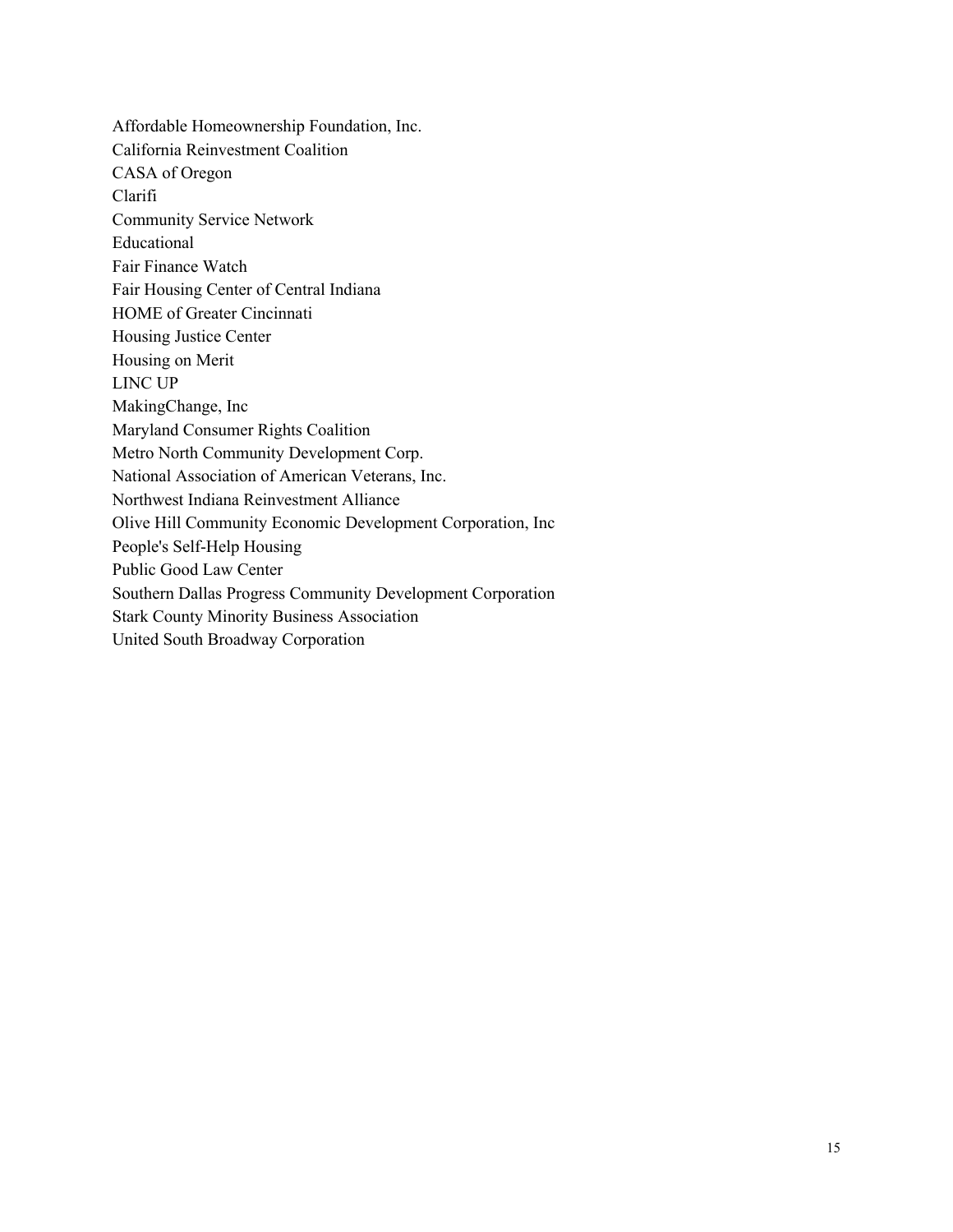Affordable Homeownership Foundation, Inc. California Reinvestment Coalition CASA of Oregon Clarifi Community Service Network Educational Fair Finance Watch Fair Housing Center of Central Indiana HOME of Greater Cincinnati Housing Justice Center Housing on Merit LINC UP MakingChange, Inc Maryland Consumer Rights Coalition Metro North Community Development Corp. National Association of American Veterans, Inc. Northwest Indiana Reinvestment Alliance Olive Hill Community Economic Development Corporation, Inc People's Self-Help Housing Public Good Law Center Southern Dallas Progress Community Development Corporation Stark County Minority Business Association United South Broadway Corporation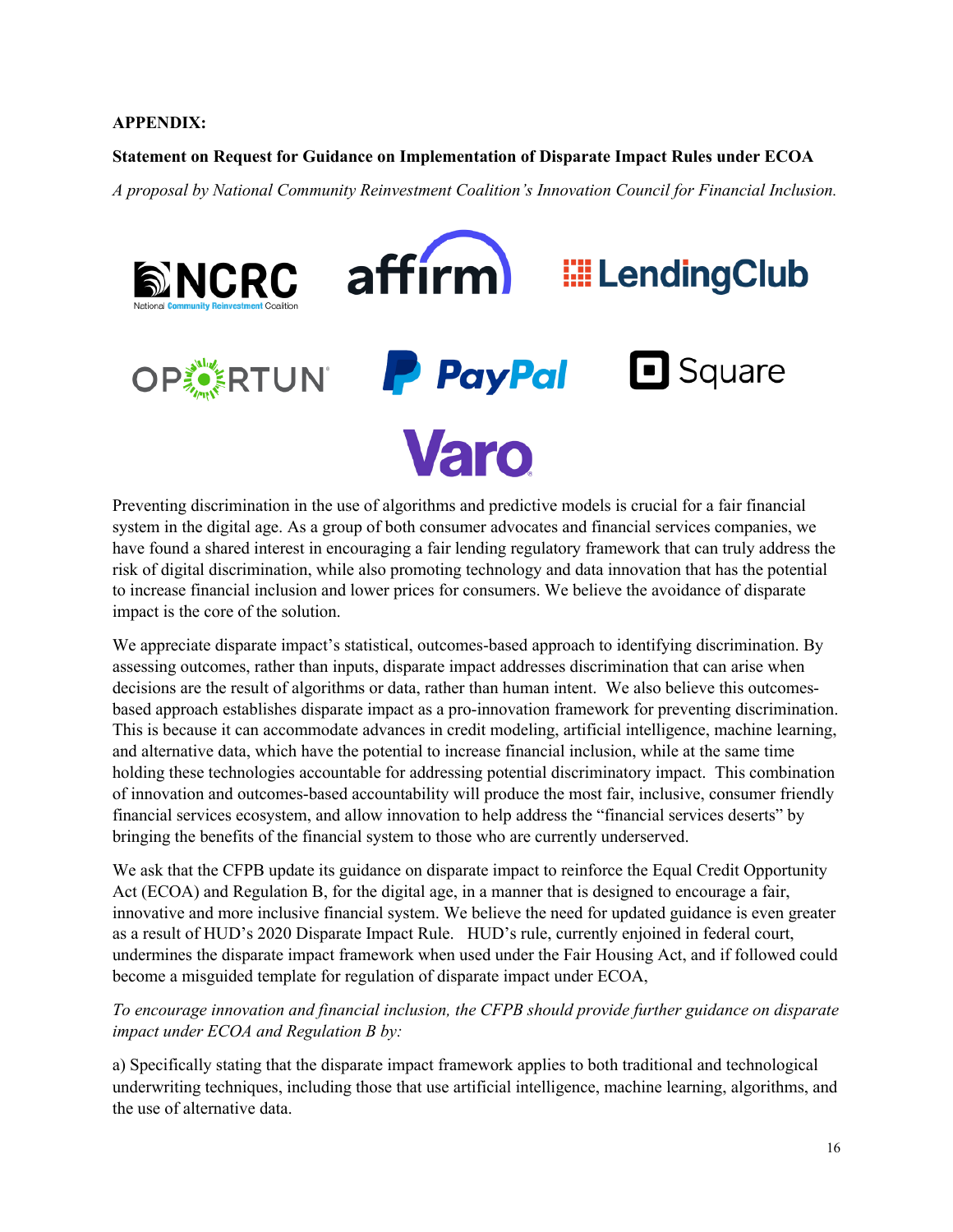#### **APPENDIX:**

#### **Statement on Request for Guidance on Implementation of Disparate Impact Rules under ECOA**

*A proposal by National Community Reinvestment Coalition's Innovation Council for Financial Inclusion.* 



Preventing discrimination in the use of algorithms and predictive models is crucial for a fair financial system in the digital age. As a group of both consumer advocates and financial services companies, we have found a shared interest in encouraging a fair lending regulatory framework that can truly address the risk of digital discrimination, while also promoting technology and data innovation that has the potential to increase financial inclusion and lower prices for consumers. We believe the avoidance of disparate impact is the core of the solution.

We appreciate disparate impact's statistical, outcomes-based approach to identifying discrimination. By assessing outcomes, rather than inputs, disparate impact addresses discrimination that can arise when decisions are the result of algorithms or data, rather than human intent. We also believe this outcomesbased approach establishes disparate impact as a pro-innovation framework for preventing discrimination. This is because it can accommodate advances in credit modeling, artificial intelligence, machine learning, and alternative data, which have the potential to increase financial inclusion, while at the same time holding these technologies accountable for addressing potential discriminatory impact. This combination of innovation and outcomes-based accountability will produce the most fair, inclusive, consumer friendly financial services ecosystem, and allow innovation to help address the "financial services deserts" by bringing the benefits of the financial system to those who are currently underserved.

We ask that the CFPB update its guidance on disparate impact to reinforce the Equal Credit Opportunity Act (ECOA) and Regulation B, for the digital age, in a manner that is designed to encourage a fair, innovative and more inclusive financial system. We believe the need for updated guidance is even greater as a result of HUD's 2020 Disparate Impact Rule. HUD's rule, currently enjoined in federal court, undermines the disparate impact framework when used under the Fair Housing Act, and if followed could become a misguided template for regulation of disparate impact under ECOA,

### *To encourage innovation and financial inclusion, the CFPB should provide further guidance on disparate impact under ECOA and Regulation B by:*

a) Specifically stating that the disparate impact framework applies to both traditional and technological underwriting techniques, including those that use artificial intelligence, machine learning, algorithms, and the use of alternative data.